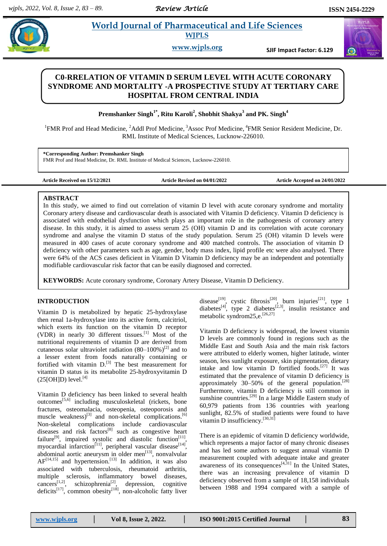# **Paramaceutical and Life Sciences WJPLS**

**www.wjpls.org SJIF Impact Factor: 6.129**

## **C0-RRELATION OF VITAMIN D SERUM LEVEL WITH ACUTE CORONARY SYNDROME AND MORTALITY -A PROSPECTIVE STUDY AT TERTIARY CARE HOSPITAL FROM CENTRAL INDIA**

**Premshanker Singh1\* , Ritu Karoli<sup>2</sup> , Shobhit Shakya<sup>3</sup> and PK. Singh<sup>4</sup>**

<sup>1</sup>FMR Prof and Head Medicine, <sup>2</sup>Addl Prof Medicine, <sup>3</sup>Assoc Prof Medicine, <sup>4</sup>FMR Senior Resident Medicine, Dr. RML Institute of Medical Sciences, Lucknow-226010.

**\*Corresponding Author: Premshanker Singh** FMR Prof and Head Medicine, Dr. RML Institute of Medical Sciences, Lucknow-226010.

**Article Received on 15/12/2021 Article Revised on 04/01/2022 Article Accepted on 24/01/2022**

#### **ABSTRACT**

In this study, we aimed to find out correlation of vitamin D level with acute coronary syndrome and mortality Coronary artery disease and cardiovascular death is associated with Vitamin D deficiency. Vitamin D deficiency is associated with endothelial dysfunction which plays an important role in the pathogenesis of coronary artery disease. In this study, it is aimed to assess serum 25 (OH) vitamin D and its correlation with acute coronary syndrome and analyse the vitamin D status of the study population. Serum 25 (OH) vitamin D levels were measured in 400 cases of acute coronary syndrome and 400 matched controls. The association of vitamin D deficiency with other parameters such as age, gender, body mass index, lipid profile etc were also analysed. There were 64% of the ACS cases deficient in Vitamin D Vitamin D deficiency may be an independent and potentially modifiable cardiovascular risk factor that can be easily diagnosed and corrected.

**KEYWORDS:** Acute coronary syndrome, Coronary Artery Disease, Vitamin D Deficiency.

## **INTRODUCTION**

Vitamin D is metabolized by hepatic 25-hydroxylase then renal 1a-hydroxylase into its active form, calcitriol, which exerts its function on the vitamin D receptor (VDR) in nearly 30 different tissues. [1] Most of the nutritional requirements of vitamin D are derived from cutaneous solar ultraviolet radiation  $(80-100\%)^{[2]}$  and to a lesser extent from foods naturally containing or fortified with vitamin  $D$ .<sup>[3]</sup> The best measurement for vitamin D status is its metabolite 25-hydroxyvitamin D  $(25[OH]D)$  level.<sup>[4]</sup>

Vitamin D deficiency has been linked to several health outcomes<sup>[5,6]</sup> including musculoskeletal (rickets, bone fractures, osteomalacia, osteopenia, osteoporosis and muscle weakness)<sup>[3]</sup> and non-skeletal complications.<sup>[6]</sup> Non-skeletal complications include cardiovascular diseases and risk  $factors^{[8]}$  such as congestive heart failure<sup>[9]</sup>, impaired systolic and diastolic function<sup>[11]</sup>, myocardial infarction<sup>[11]</sup>, peripheral vascular disease<sup>[14]</sup>, abdominal aortic aneurysm in older men $^{[13]}$ , nonvalvular  $AF^{[14,15]}$  and hypertension.<sup>[13]</sup> In addition, it was also associated with tuberculosis, rheumatoid arthritis, multiple sclerosis, inflammatory bowel diseases, cancers<sup>[1,2]</sup>, schizophrenia<sup>[2]</sup>, depression, cognitive deficits<sup>[17]</sup>, common obesity<sup>[18]</sup>, non-alcoholic fatty liver disease<sup>[19]</sup>, cystic fibrosis<sup>[20]</sup>, burn injuries<sup>[21]</sup>, type 1 diabetes<sup>[4]</sup>, type 2 diabetes<sup>[2,3]</sup>, insulin resistance and metabolic syndrom25,e. [26,27]

Vitamin D deficiency is widespread, the lowest vitamin D levels are commonly found in regions such as the Middle East and South Asia and the main risk factors were attributed to elderly women, higher latitude, winter season, less sunlight exposure, skin pigmentation, dietary intake and low vitamin D fortified foods. [27] It was estimated that the prevalence of vitamin D deficiency is approximately  $30-50%$  of the general population.<sup>[28]</sup> Furthermore, vitamin D deficiency is still common in sunshine countries.<sup>[29]</sup> In a large Middle Eastern study of 60,979 patients from 136 countries with yearlong sunlight, 82.5% of studied patients were found to have vitamin D insufficiency.<sup>[30,31]</sup>

There is an epidemic of vitamin D deficiency worldwide, which represents a major factor of many chronic diseases and has led some authors to suggest annual vitamin D measurement coupled with adequate intake and greater awareness of its consequences $[4,31]$  In the United States, there was an increasing prevalence of vitamin D deficiency observed from a sample of 18,158 individuals between 1988 and 1994 compared with a sample of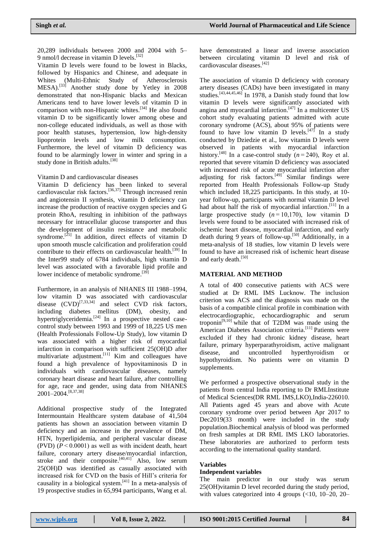20,289 individuals between 2000 and 2004 with 5– 9 nmol/l decrease in vitamin D levels.<sup>[32]</sup>

Vitamin D levels were found to be lowest in Blacks, followed by Hispanics and Chinese, and adequate in Whites (Multi-Ethnic Study of Atherosclerosis MESA).<sup>[33]</sup> Another study done by Yetley in 2008 demonstrated that non-Hispanic blacks and Mexican Americans tend to have lower levels of vitamin D in comparison with non-Hispanic whites.<sup>[34]</sup> He also found vitamin D to be significantly lower among obese and non-college educated individuals, as well as those with poor health statuses, hypertension, low high-density lipoprotein levels and low milk consumption. Furthermore, the level of vitamin D deficiency was found to be alarmingly lower in winter and spring in a study done in British adults.<sup>[38]</sup>

Vitamin D and cardiovascular diseases

Vitamin D deficiency has been linked to several cardiovascular risk factors.<sup>[36,37]</sup> Through increased renin and angiotensin II synthesis, vitamin D deficiency can increase the production of reactive oxygen species and G protein RhoA, resulting in inhibition of the pathways necessary for intracellular glucose transporter and thus the development of insulin resistance and metabolic syndrome.<sup>[25]</sup> In addition, direct effects of vitamin D upon smooth muscle calcification and proliferation could contribute to their effects on cardiovascular health.<sup>[39]</sup> In the Inter99 study of 6784 individuals, high vitamin D level was associated with a favorable lipid profile and lower incidence of metabolic syndrome.<sup>[39]</sup>

Furthermore, in an analysis of NHANES III 1988–1994, low vitamin D was associated with cardiovascular disease  $(CVD)^{[7,33,34]}$  and select CVD risk factors, including diabetes mellitus (DM), obesity, and hypertriglyceridemia.<sup>[24]</sup> In a prospective nested casecontrol study between 1993 and 1999 of 18,225 US men (Health Professionals Follow-Up Study), low vitamin D was associated with a higher risk of myocardial infarction in comparison with sufficient 25(OH)D after multivariate adjustment.<sup>[11]</sup> Kim and colleagues have found a high prevalence of hypovitaminosis D in individuals with cardiovascular diseases, namely coronary heart disease and heart failure, after controlling for age, race and gender, using data from NHANES 2001–2004. [8,37,38]

Additional prospective study of the Integrated Intermountain Healthcare system database of 41,504 patients has shown an association between vitamin D deficiency and an increase in the prevalence of DM, HTN, hyperlipidemia, and peripheral vascular disease (PVD)  $(P < 0.0001)$  as well as with incident death, heart failure, coronary artery disease/myocardial infarction, stroke and their composite. $[40,41]$  Also, low serum 25(OH)D was identified as casually associated with increased risk for CVD on the basis of Hill's criteria for causality in a biological system. [41] In a meta-analysis of 19 prospective studies in 65,994 participants, Wang et al.

have demonstrated a linear and inverse association between circulating vitamin D level and risk of cardiovascular diseases. [42]

The association of vitamin D deficiency with coronary artery diseases (CADs) have been investigated in many studies.<sup>[43,44,45,46]</sup> In 1978, a Danish study found that low vitamin D levels were significantly associated with angina and myocardial infarction.<sup>[47]</sup> In a multicenter US cohort study evaluating patients admitted with acute coronary syndrome (ACS), about 95% of patients were found to have low vitamin D levels.<sup>[47]</sup> In a study conducted by Dziedzie et al., low vitamin D levels were observed in patients with myocardial infarction history.<sup>[48]</sup> In a case-control study  $(n=240)$ , Roy et al. reported that severe vitamin D deficiency was associated with increased risk of acute myocardial infarction after adjusting for risk factors.<sup>[49]</sup> Similar findings were reported from Health Professionals Follow-up Study which included 18,225 participants. In this study, at 10 year follow-up, participants with normal vitamin D level had about half the risk of myocardial infarction.<sup>[11]</sup> In a large prospective study  $(n=10,170)$ , low vitamin D levels were found to be associated with increased risk of ischemic heart disease, myocardial infarction, and early death during 9 years of follow-up.<sup>[50]</sup> Additionally, in a meta-analysis of 18 studies, low vitamin D levels were found to have an increased risk of ischemic heart disease and early death.<sup>[50]</sup>

## **MATERIAL AND METHOD**

A total of 400 consecutive patients with ACS were studied at Dr RML IMS Lucknow. The inclusion criterion was ACS and the diagnosis was made on the basis of a compatible clinical profile in combination with electrocardiographic, echocardiographic and serum troponin $[9,10]$  $[9,10]$  while that of T2DM was made using the American Diabetes Association criteria.<sup>[\[11\]](https://www.ncbi.nlm.nih.gov/pmc/articles/PMC5010093/#b11-cmed-9-2016-037)</sup> Patients were excluded if they had chronic kidney disease, heart failure, primary hyperparathyroidism, active malignant disease, and uncontrolled hyperthyroidism or hypothyroidism. No patients were on vitamin D supplements.

We performed a prospective observational study in the patients from central India reporting to Dr RMLInstitute of Medical Sciences(DR RML IMS,LKO),India-226010. All Patients aged 45 years and above with Acute coronary syndrome over period between Apr 2017 to Dec2019(33 month) were included in the study population.Biochemical analysis of blood was performed on fresh samples at DR RML IMS LKO laboratories. These laboratories are authorized to perform tests according to the international quality standard.

#### **Variables**

#### **Independent variables**

The main predictor in our study was serum 25(OH)vitamin D level recorded during the study period, with values categorized into 4 groups  $\left( \langle 10, 10 \rangle - 20, 20 \rangle \right)$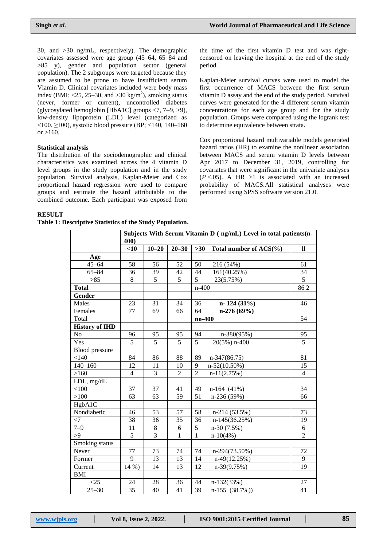30, and >30 ng/mL, respectively). The demographic covariates assessed were age group (45–64, 65–84 and >85 y), gender and population sector (general population). The 2 subgroups were targeted because they are assumed to be prone to have insufficient serum Viamin D. Clinical covariates included were body mass index (BMI;  $\langle 25, 25-30, \text{ and } 50 \text{ kg/m}^2 \rangle$ , smoking status (never, former or current), uncontrolled diabetes (glycosylated hemoglobin [HbA1C] groups <7, 7–9, >9), low-density lipoprotein (LDL) level (categorized as  $\leq$ 100,  $\geq$ 100), systolic blood pressure (BP;  $\leq$ 140, 140–160 or  $>160$ .

#### **Statistical analysis**

The distribution of the sociodemographic and clinical characteristics was examined across the 4 vitamin D level groups in the study population and in the study population. Survival analysis, Kaplan-Meier and Cox proportional hazard regression were used to compare groups and estimate the hazard attributable to the combined outcome. Each participant was exposed from

the time of the first vitamin D test and was rightcensored on leaving the hospital at the end of the study period.

Kaplan-Meier survival curves were used to model the first occurrence of MACS between the first serum vitamin D assay and the end of the study period. Survival curves were generated for the 4 different serum vitamin concentrations for each age group and for the study population. Groups were compared using the logrank test to determine equivalence between strata.

Cox proportional hazard multivariable models generated hazard ratios (HR) to examine the nonlinear association between MACS and serum vitamin D levels between Apr 2017 to December 31, 2019, controlling for covariates that were significant in the univariate analyses  $(P < .05)$ . A HR  $>1$  is associated with an increased probability of MACS.All statistical analyses were performed using SPSS software version 21.0.

#### **RESULT**

**Table 1: Descriptive Statistics of the Study Population.**

|                       | Subjects With Serum Vitamin D (ng/mL) Level in total patients(n-<br>400) |                |                |                |                        |                |  |
|-----------------------|--------------------------------------------------------------------------|----------------|----------------|----------------|------------------------|----------------|--|
|                       | $<$ 10                                                                   | $10 - 20$      | $20 - 30$      | $>30$          | Total number of ACS(%) | $\mathbf{u}$   |  |
| Age                   |                                                                          |                |                |                |                        |                |  |
| $45 - 64$             | 58                                                                       | 56             | 52             | 50             | 216 (54%)              | 61             |  |
| $65 - 84$             | 36                                                                       | 39             | 42             | 44             | 161(40.25%)            | 34             |  |
| $>85$                 | 8                                                                        | 5              | 5              | 5              | 23(5.75%)              | 5              |  |
| <b>Total</b>          |                                                                          |                |                |                | $n-400$                |                |  |
| Gender                |                                                                          |                |                |                |                        |                |  |
| Males                 | 23                                                                       | 31             | 34             | 36             | $n-124(31%)$           | 46             |  |
| Females               | 77                                                                       | 69             | 66             | 64             | $n-276(69%)$           |                |  |
| Total                 |                                                                          |                |                | no-400         |                        | 54             |  |
| <b>History of IHD</b> |                                                                          |                |                |                |                        |                |  |
| No                    | 96                                                                       | 95             | 95             | 94             | n-380(95%)             | 95             |  |
| Yes                   | 5                                                                        | 5              | 5              | 5              | 20(5%) n-400           | $\overline{5}$ |  |
| <b>Blood</b> pressure |                                                                          |                |                |                |                        |                |  |
| < 140                 | 84                                                                       | 86             | 88             | 89             | $n-347(86.75)$         | 81             |  |
| $140 - 160$           | 12                                                                       | 11             | 10             | 9              | $n-52(10.50\%)$        | 15             |  |
| >160                  | $\overline{4}$                                                           | $\overline{3}$ | $\overline{2}$ | $\overline{2}$ | $n-11(2.75%)$          | $\overline{4}$ |  |
| LDL, mg/dL            |                                                                          |                |                |                |                        |                |  |
| < 100                 | 37                                                                       | 37             | 41             | 49             | $n-164$ (41%)          | 34             |  |
| >100                  | 63                                                                       | 63             | 59             | 51             | n-236 (59%)            | 66             |  |
| HgbA1C                |                                                                          |                |                |                |                        |                |  |
| Nondiabetic           | 46                                                                       | 53             | 57             | 58             | $n-214(53.5%)$         | 73             |  |
| $<$ 7                 | 38                                                                       | 36             | 35             | 36             | n-145(36.25%)          | 19             |  |
| $7 - 9$               | 11                                                                       | $\,8\,$        | 6              | 5              | n-30 (7.5%)            | 6              |  |
| >9                    | $\overline{5}$                                                           | $\overline{3}$ | $\overline{1}$ | $\overline{1}$ | $n-10(4%)$             | $\overline{2}$ |  |
| Smoking status        |                                                                          |                |                |                |                        |                |  |
| Never                 | 77                                                                       | 73             | 74             | 74             | n-294(73.50%)          | 72             |  |
| Former                | 9                                                                        | 13             | 13             | 14             | $n-49(12.25%)$         | 9              |  |
| Current               | 14 %)                                                                    | 14             | 13             | 12             | $n-39(9.75%)$          | 19             |  |
| <b>BMI</b>            |                                                                          |                |                |                |                        |                |  |
| $<$ 25                | 24                                                                       | 28             | 36             | 44             | $n-132(33%)$           | 27             |  |
| $25 - 30$             | 35                                                                       | 40             | 41             | 39             | $n-155$ (38.7%))       | 41             |  |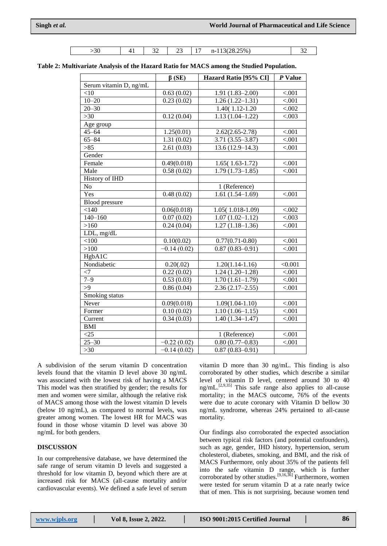| $\sim$ $\sim$ | . . | $\sim$ $\sim$<br>╮<br>$\overline{\phantom{a}}$ | - -<br>$\overline{\phantom{a}}$ | . . | $28.25\%$<br>າ ເ )<br>$\sim$<br>.<br>. <i>.</i> | $\mathbf{A}$ |
|---------------|-----|------------------------------------------------|---------------------------------|-----|-------------------------------------------------|--------------|

| Table 2: Multivariate Analysis of the Hazard Ratio for MACS among the Studied Population. |  |
|-------------------------------------------------------------------------------------------|--|
|-------------------------------------------------------------------------------------------|--|

|                        | $\beta$ (SE)  | Hazard Ratio [95% CI] | $P$ Value |
|------------------------|---------------|-----------------------|-----------|
| Serum vitamin D, ng/mL |               |                       |           |
| $<$ 10                 | 0.63(0.02)    | $1.91(1.83 - 2.00)$   | < .001    |
| $10 - 20$              | 0.23(0.02)    | $1.26(1.22 - 1.31)$   | < 0.001   |
| $20 - 30$              |               | 1.40(1.12-1.20)       | < .002    |
| $>30$                  | 0.12(0.04)    | $1.13(1.04 - 1.22)$   | < .003    |
| Age group              |               |                       |           |
| $45 - 64$              | 1.25(0.01)    | $2.62(2.65 - 2.78)$   | < .001    |
| $65 - 84$              | 1.31(0.02)    | $3.71(3.55 - 3.87)$   | < .001    |
| $>85$                  | 2.61(0.03)    | $13.6(12.9-14.3)$     | < .001    |
| Gender                 |               |                       |           |
| Female                 | 0.49(0.018)   | $1.65(1.63-1.72)$     | < .001    |
| Male                   | 0.58(0.02)    | $1.79(1.73 - 1.85)$   | < .001    |
| History of IHD         |               |                       |           |
| No                     |               | 1 (Reference)         |           |
| Yes                    | 0.48(0.02)    | $1.61(1.54-1.69)$     | < .001    |
| <b>Blood</b> pressure  |               |                       |           |
| < 140                  | 0.06(0.018)   | 1.05(1.018-1.09)      | < 0.002   |
| $140 - 160$            | 0.07(0.02)    | $1.07(1.02 - 1.12)$   | < 0.003   |
| >160                   | 0.24(0.04)    | $1.27(1.18-1.36)$     | < .001    |
| LDL, mg/dL             |               |                       |           |
| < 100                  | 0.10(0.02)    | $0.77(0.71 - 0.80)$   | < .001    |
| >100                   | $-0.14(0.02)$ | $0.87(0.83 - 0.91)$   | < .001    |
| HgbA1C                 |               |                       |           |
| Nondiabetic            | 0.20(.02)     | $1.20(1.14-1.16)$     | < 0.001   |
| $<$ 7                  | 0.22(0.02)    | $1.24(1.20-1.28)$     | < .001    |
| $7 - 9$                | 0.53(0.03)    | $1.70(1.61-1.79)$     | < .001    |
| >9                     | 0.86(0.04)    | $2.36(2.17-2.55)$     | < .001    |
| Smoking status         |               |                       |           |
| Never                  | 0.09(0.018)   | $1.09(1.04 - 1.10)$   | $<0.01$   |
| Former                 | 0.10(0.02)    | $1.10(1.06-1.15)$     | < .001    |
| Current                | 0.34(0.03)    | $1.40(1.34 - 1.47)$   | < .001    |
| <b>BMI</b>             |               |                       |           |
| <25                    |               | 1 (Reference)         | < .001    |
| $25 - 30$              | $-0.22(0.02)$ | $0.80(0.77-0.83)$     | < .001    |
| $>30$                  | $-0.14(0.02)$ | $0.87(0.83 - 0.91)$   |           |

A subdivision of the serum vitamin D concentration levels found that the vitamin D level above 30 ng/mL was associated with the lowest risk of having a MACS This model was then stratified by gender; the results for men and women were similar, although the relative risk of MACS among those with the lowest vitamin D levels (below 10 ng/mL), as compared to normal levels, was greater among women. The lowest HR for MACS was found in those whose vitamin D level was above 30 ng/mL for both genders.

## **DISCUSSION**

In our comprehensive database, we have determined the safe range of serum vitamin D levels and suggested a threshold for low vitamin D, beyond which there are at increased risk for MACS (all-cause mortality and/or cardiovascular events). We defined a safe level of serum

vitamin D more than 30 ng/mL. This finding is also corroborated by other studies, which describe a similar level of vitamin D level, centered around 30 to 40  $\text{ng/mL}$ <sup>[2,9,35]</sup> This safe range also applies to all-cause mortality; in the MACS outcome, 76% of the events were due to acute coronary with Vitamin D bellow 30 ng/mL syndrome, whereas 24% pertained to all-cause mortality.

Our findings also corroborated the expected association between typical risk factors (and potential confounders), such as age, gender, IHD history, hypertension, serum cholesterol, diabetes, smoking, and BMI, and the risk of MACS Furthermore, only about 35% of the patients fell into the safe vitamin D range, which is further corroborated by other studies.<sup>[9,16,36]</sup> Furthermore, women were tested for serum vitamin D at a rate nearly twice that of men. This is not surprising, because women tend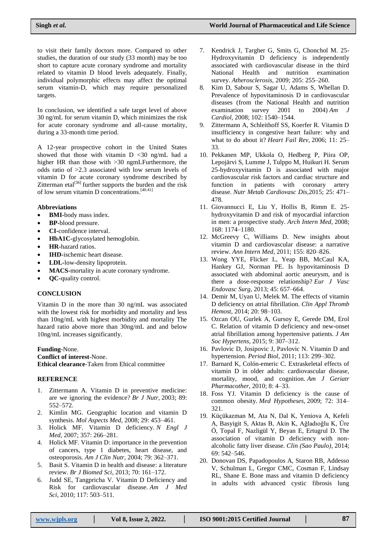to visit their family doctors more. Compared to other studies, the duration of our study (33 month) may be too short to capture acute coronary syndrome and mortality related to vitamin D blood levels adequately. Finally, individual polymorphic effects may affect the optimal serum vitamin-D, which may require personalized targets.

In conclusion, we identified a safe target level of above 30 ng/mL for serum vitamin D, which minimizes the risk for acute coronary syndrome and all-cause mortality, during a 33-month time period.

A 12-year prospective cohort in the United States showed that those with vitamin  $D < 30$  ng/mL had a higher HR than those with >30 ngmLFurthermore, the odds ratio of >2.3 associated with low serum levels of vitamin D for acute coronary syndrome described by Zitterman etal $^{[36]}$  further supports the burden and the risk of low serum vitamin D concentrations. [40.41]

## **Abbreviations**

- **BMI-**body mass index.
- **BP-**blood pressure.
- **CI-**confidence interval.
- **HbA1C-**glycosylated hemoglobin.
- **HR-**hazard ratios.
- **IHD-**ischemic heart disease.
- **LDL-**low-density lipoprotein.
- **MACS-**mortality in acute coronary syndrome.
- **QC-**quality control.

## **CONCLUSION**

Vitamin D in the more than 30 ng/mL was associated with the lowest risk for morbidity and mortality and less than 10ng/mL with highest morbidity and mortality The hazard ratio above more than 30ng/mL and and below 10ng/mL increases significantly.

**Funding**-None. **Conflict of interest**-None. **Ethical clearance**-Taken from Ehical committee

## **REFERENCE**

- 1. Zittermann A. Vitamin D in preventive medicine: are we ignoring the evidence? *Br J Nutr,* 2003; 89: 552–572.
- 2. Kimlin MG. Geographic location and vitamin D synthesis. *Mol Aspects Med,* 2008; 29: 453–461.
- 3. Holick MF. Vitamin D deficiency. *N Engl J Med,* 2007; 357: 266–281.
- 4. Holick MF. Vitamin D: importance in the prevention of cancers, type 1 diabetes, heart disease, and osteoporosis. *Am J Clin Nutr,* 2004; 79: 362–371.
- 5. Basit S. Vitamin D in health and disease: a literature review. *Br J Biomed Sci,* 2013; 70: 161–172.
- 6. Judd SE, Tangpricha V. Vitamin D Deficiency and Risk for cardiovascular disease. *Am J Med Sci,* 2010; 117: 503–511.
- 7. Kendrick J, Targher G, Smits G, Chonchol M. 25- Hydroxyvitamin D deficiency is independently associated with cardiovascular disease in the third National Health and nutrition examination survey. *Atherosclerosis,* 2009; 205: 255–260.
- 8. Kim D, Sabour S, Sagar U, Adams S, Whellan D. Prevalence of hypovitaminosis D in cardiovascular diseases (from the National Health and nutrition examination survey  $2001$  to  $2004$ ) *Am Cardiol,* 2008; 102: 1540–1544.
- 9. Zittermann A, Schleithoff SS, Koerfer R. Vitamin D insufficiency in congestive heart failure: why and what to do about it? *Heart Fail Rev,* 2006; 11: 25– 33.
- 10. Pekkanen MP, Ukkola O, Hedberg P, Piira OP, Lepojärvi S, Lumme J, Tulppo M, Huikuri H. Serum 25-hydroxyvitamin D is associated with major cardiovascular risk factors and cardiac structure and function in patients with coronary artery disease. *Nutr Metab Cardiovasc Dis,*2015; 25: 471– 478.
- 11. Giovannucci E, Liu Y, Hollis B, Rimm E. 25 hydroxyvitamin D and risk of myocardial infarction in men: a prospective study. *Arch Intern Med,* 2008; 168: 1174–1180.
- 12. McGreevy C, Williams D. New insights about vitamin D and cardiovascular disease: a narrative review. *Ann Intern Med,* 2011; 155: 820–826.
- 13. Wong YYE, Flicker L, Yeap BB, McCaul KA, Hankey GJ, Norman PE. Is hypovitaminosis D associated with abdominal aortic aneurysm, and is there a dose-response relationship? *Eur J Vasc Endovasc Surg,* 2013; 45: 657–664.
- 14. Demir M, Uyan U, Melek M. The effects of vitamin D deficiency on atrial fibrillation. *Clin Appl Thromb Hemost,* 2014; 20: 98–103.
- 15. Ozcan OU, Gurlek A, Gursoy E, Gerede DM, Erol C. Relation of vitamin D deficiency and new-onset atrial fibrillation among hypertensive patients. *J Am Soc Hypertens,* 2015; 9: 307–312.
- 16. Pavlovic D, Josipovic J, Pavlovic N. Vitamin D and hypertension. *Period Biol,* 2011; 113: 299–302.
- 17. Barnard K, Colón-emeric C. Extraskeletal effects of vitamin D in older adults: cardiovascular disease, mortality, mood, and cognition. *Am J Geriatr Pharmacother,* 2010; 8: 4–33.
- 18. Foss YJ. Vitamin D deficiency is the cause of common obesity. *Med Hypotheses,* 2009; 72: 314– 321.
- 19. Küçükazman M, Ata N, Dal K, Yeniova A, Kefeli A, Basyigit S, Aktas B, Akin K, Ağladıoğlu K, Üre Ö, Topal F, Nazligül Y, Beyan E, Ertugrul D. The association of vitamin D deficiency with nonalcoholic fatty liver disease. *Clin (Sao Paulo),* 2014; 69: 542–546.
- 20. Donovan DS, Papadopoulos A, Staron RB, Addesso V, Schulman L, Gregor CMC, Cosman F, Lindsay RL, Shane E. Bone mass and vitamin D deficiency in adults with advanced cystic fibrosis lung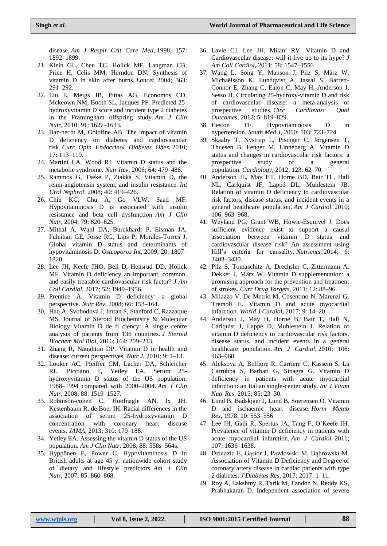disease. *Am J Respir Crit Care Med,* 1998; 157: 1892–1899.

- 21. Klein GL, Chen TC, Holick MF, Langman CB, Price H, Celis MM, Herndon DN. Synthesis of vitamin D in skin after burns. *Lancet,* 2004; 363: 291–292.
- 22. Liu E, Meigs JB, Pittas AG, Economos CD, Mckeown NM, Booth SL, Jacques PF. Predicted 25 hydroxyvitamin D score and incident type 2 diabetes in the Framingham offspring study. *Am J Clin Nutr,* 2010; 91: 1627–1633.
- 23. Baz-hecht M, Goldfine AB. The impact of vitamin D deficiency on diabetes and cardiovascular risk. *Curr Opin Endocrinol Diabetes Obes,* 2010; 17: 113–119.
- 24. Martini LA, Wood RJ. Vitamin D status and the metabolic syndrome. *Nutr Rev,* 2006; 64: 479–486.
- 25. Rammos G, Tseke P, Ziakka S. Vitamin D, the renin-angiotensin system, and insulin resistance. *Int Urol Nephrol,* 2008; 40: 419–426.
- 26. Chiu KC, Chu A, Go VLW, Saad MF. Hypovitaminosis D is associated with insulin resistance and beta cell dysfunction. *Am J Clin Nutr,* 2004; 79: 820–825.
- 27. Mithal A, Wahl DA, Burckhardt P, Eisman JA, Fuleihan GE, Josse RG, Lips P, Morales-Torres J. Global vitamin D status and determinants of hypovitaminosis D. *Osteoporos Int,* 2009; 20: 1807– 1820.
- 28. Lee JH, Keefe JHO, Bell D, Hensrud DD, Holick MF. Vitamin D deficiency an important, common, and easily treatable cardiovascular risk factor? *J Am Coll Cardiol,* 2017; 52: 1949–1956.
- 29. Prentice A. Vitamin D deficiency: a global perspective. *Nutr Rev,* 2008; 66: 153–164.
- 30. Haq A, Svobodová J, Imran S, Stanford C, Razzaque MS. Journal of Steroid Biochemistry & Molecular Biology Vitamin D de fi ciency: A single centre analysis of patients from 136 countries. *J Steroid Biochem Mol Biol,* 2016; 164: 209–213.
- 31. Zhang R, Naughton DP. Vitamin D in health and disease: current perspectives. *Nutr J,* 2010; 9: 1–13.
- 32. Looker AC, Pfeiffer CM, Lacher DA, Schleicher RL, Picciano F, Yetley EA. Serum 25 hydroxyvitamin D status of the US population: 1988–1994 compared with 2000–2004. *Am J Clin Nutr,* 2008; 88: 1519–1527.
- 33. Robinson-cohen C, Hoofnagle AN, Ix JH, Kestenbaum R, de Boer IH. Racial differences in the association of serum 25-hydroxyvitamin D concentration with coronary heart disease events. *JAMA,* 2013; 310: 179–188.
- 34. Yetley EA. Assessing the vitamin D status of the US population. *Am J Clin Nutr,* 2008; 88: 558s–564s.
- 35. Hyppönen E, Power C. Hypovitaminosis D in British adults at age 45 y: nationwide cohort study of dietary and lifestyle predictors. *Am J Clin Nutr,* 2007; 85: 860–868.
- 36. Lavie CJ, Lee JH, Milani RV. Vitamin D and Cardiovascular disease: will it live up to its hype? *J Am Coll Cardiol,* 2011; 58: 1547–1556.
- 37. Wang L, Song Y, Manson J, Pilz S, März W, Michaëlsson K, Lundqvist A, Jassal S, Barrett-Connor E, Zhang C, Eaton C, May H, Anderson J, Sesso H. Circulating 25-hydroxy-vitamin D and risk of cardiovascular disease: a meta-analysis of prospective studies. *Circ Cardiovasc Qual Outcomes,* 2012; 5: 819–829.<br>38. Heston TF. Hypovita
- TF. Hypovitaminosis D in hypertension. *South Med J,* 2010; 103: 723–724.
- 39. Skaaby T, Nystrup L, Pisinger C, Jørgensen T, Thuesen B, Fenger M, Linneberg A. Vitamin D status and changes in cardiovascular risk factors: a prospective study of a general population. *Cardiology,* 2012; 123: 62–70.
- 40. Anderson JL, May HT, Horne BD, Bair TL, Hall NL, Carlquist JF, Lappé DL, Muhlestein JB. Relation of vitamin D deficiency to cardiovascular risk factors, disease status, and incident events in a general healthcare population. *Am J Cardiol,* 2010; 106: 963–968.
- 41. Weyland PG, Grant WB, Howie-Esquivel J. Does sufficient evidence exist to support a causal association between vitamin D status and cardiovascular disease risk? An assessment using Hill's criteria for causality. *Nutrients,* 2014; 6: 3403–3430.
- 42. Pilz S, Tomaschitz A, Drechsler C, Zittermann A, Dekker J, März W. Vitamin D supplementation: a promising approach for the prevention and treatment of strokes. *Curr Drug Targets,* 2011; 12: 88–96.
- 43. Milazzo V, De Metrio M, Cosentino N, Marenzi G, Tremoli E. Vitamin D and acute myocardial infarction. *World J Cardiol,* 2017; 9: 14–20.
- 44. Anderson J, May H, Horne B, Bair T, Hall N, Carlquist J, Lappé D, Muhlestein J. Relation of vitamin D deficiency to cardiovascular risk factors, disease status, and incident events in a general healthcare population. *Am J Cardiol,* 2010; 106: 963–968.
- 45. Aleksova A, Belfiore R, Carriere C, Kassem S, La Carrubba S, Barbati G, Sinagra G. Vitamin D deficiency in patients with acute myocardial infarction: an Italian single-center study. *Int J Vitam Nutr Res,* 2015; 85: 23–30.
- 46. Lund B, Badskjaer J, Lund B, Soerensen O. Vitamin D and ischaemic heart disease. *Horm Metab Res,* 1978; 10: 553–556.
- 47. Lee JH, Gadi R, Spertus JA, Tang F, O'Keefe JH. Prevalence of vitamin D deficiency in patients with acute myocardial infarction. *Am J Cardiol.* 2011; 107: 1636–1638.
- 48. Dziedzic E, Gąsior J, Pawłowski M, Dąbrowski M. Association of Vitamin D Deficiency and Degree of coronary artery disease in cardiac patients with type 2 diabetes. *J Diabetes Res,* 2017; 2017: 1–11.
- 49. Roy A, Lakshmy R, Tarik M, Tandon N, Reddy KS, Prabhakaran D. Independent association of severe